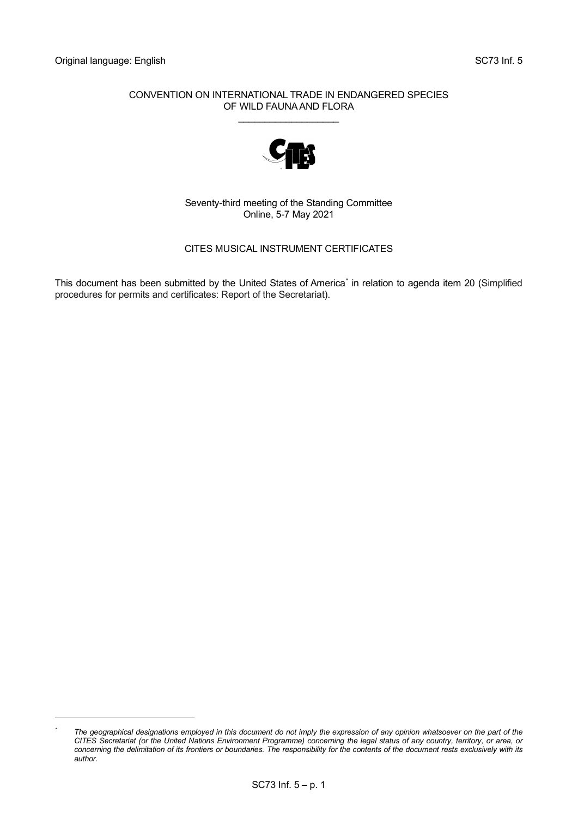#### CONVENTION ON INTERNATIONAL TRADE IN ENDANGERED SPECIES OF WILD FAUNA AND FLORA \_\_\_\_\_\_\_\_\_\_\_\_\_\_\_\_\_\_\_



Seventy-third meeting of the Standing Committee Online, 5-7 May 2021

## CITES MUSICAL INSTRUMENT CERTIFICATES

This document has been submitted by the United States of America<sup>[\\*](#page-0-0)</sup> in relation to agenda item 20 (Simplified procedures for permits and certificates: Report of the Secretariat).

<span id="page-0-0"></span><sup>&</sup>lt;sup>\*</sup> The geographical designations employed in this document do not imply the expression of any opinion whatsoever on the part of the *CITES Secretariat (or the United Nations Environment Programme) concerning the legal status of any country, territory, or area, or*  concerning the delimitation of its frontiers or boundaries. The responsibility for the contents of the document rests exclusively with its *author.*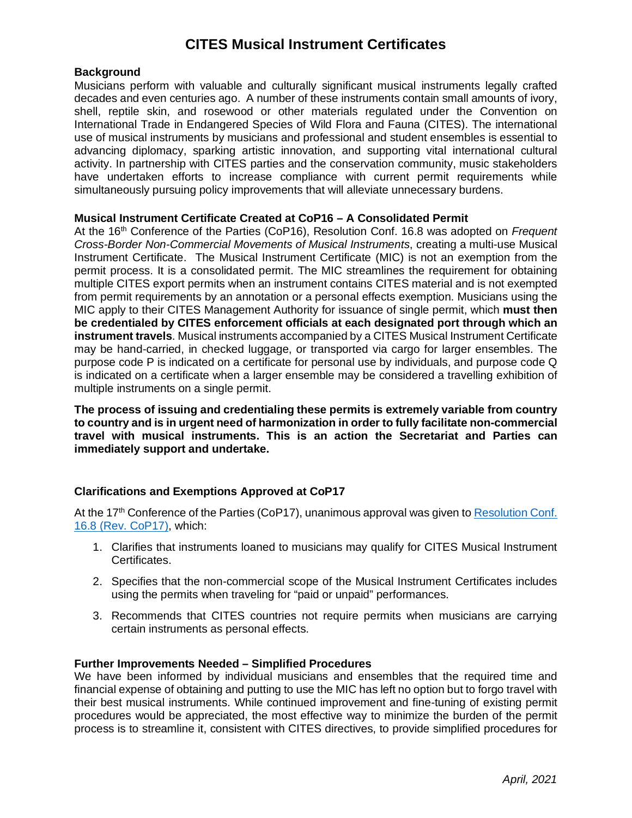# **CITES Musical Instrument Certificates**

#### **Background**

Musicians perform with valuable and culturally significant musical instruments legally crafted decades and even centuries ago. A number of these instruments contain small amounts of ivory, shell, reptile skin, and rosewood or other materials regulated under the Convention on International Trade in Endangered Species of Wild Flora and Fauna (CITES). The international use of musical instruments by musicians and professional and student ensembles is essential to advancing diplomacy, sparking artistic innovation, and supporting vital international cultural activity. In partnership with CITES parties and the conservation community, music stakeholders have undertaken efforts to increase compliance with current permit requirements while simultaneously pursuing policy improvements that will alleviate unnecessary burdens.

### **Musical Instrument Certificate Created at CoP16 – A Consolidated Permit**

At the 16<sup>th</sup> Conference of the Parties (CoP16), Resolution Conf. 16.8 was adopted on *Frequent Cross-Border Non-Commercial Movements of Musical Instruments*, creating a multi-use Musical Instrument Certificate. The Musical Instrument Certificate (MIC) is not an exemption from the permit process. It is a consolidated permit. The MIC streamlines the requirement for obtaining multiple CITES export permits when an instrument contains CITES material and is not exempted from permit requirements by an annotation or a personal effects exemption. Musicians using the MIC apply to their CITES Management Authority for issuance of single permit, which **must then be credentialed by CITES enforcement officials at each designated port through which an instrument travels**. Musical instruments accompanied by a CITES Musical Instrument Certificate may be hand-carried, in checked luggage, or transported via cargo for larger ensembles. The purpose code P is indicated on a certificate for personal use by individuals, and purpose code Q is indicated on a certificate when a larger ensemble may be considered a travelling exhibition of multiple instruments on a single permit.

**The process of issuing and credentialing these permits is extremely variable from country to country and is in urgent need of harmonization in order to fully facilitate non-commercial travel with musical instruments. This is an action the Secretariat and Parties can immediately support and undertake.**

## **Clarifications and Exemptions Approved at CoP17**

At the 17<sup>th</sup> Conference of the Parties (CoP17), unanimous approval was given to Resolution Conf. [16.8 \(Rev. CoP17\),](https://cites.org/sites/default/files/document/E-Res-16-08-R17.pdf) which:

- 1. Clarifies that instruments loaned to musicians may qualify for CITES Musical Instrument Certificates.
- 2. Specifies that the non-commercial scope of the Musical Instrument Certificates includes using the permits when traveling for "paid or unpaid" performances.
- 3. Recommends that CITES countries not require permits when musicians are carrying certain instruments as personal effects.

#### **Further Improvements Needed – Simplified Procedures**

We have been informed by individual musicians and ensembles that the required time and financial expense of obtaining and putting to use the MIC has left no option but to forgo travel with their best musical instruments. While continued improvement and fine-tuning of existing permit procedures would be appreciated, the most effective way to minimize the burden of the permit process is to streamline it, consistent with CITES directives, to provide simplified procedures for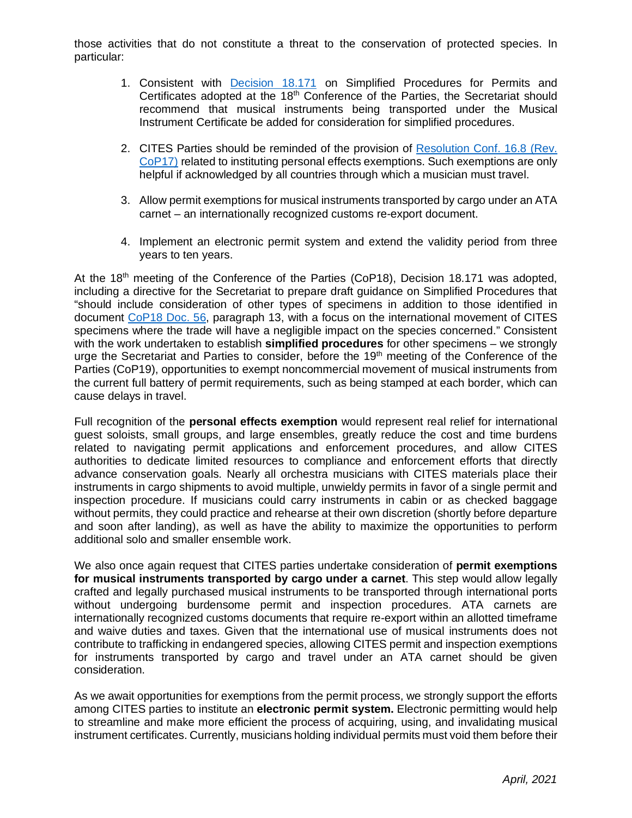those activities that do not constitute a threat to the conservation of protected species. In particular:

- 1. Consistent with [Decision 18.171](https://cites.org/eng/taxonomy/term/42068) on Simplified Procedures for Permits and Certificates adopted at the 18<sup>th</sup> Conference of the Parties, the Secretariat should recommend that musical instruments being transported under the Musical Instrument Certificate be added for consideration for simplified procedures.
- 2. CITES Parties should be reminded of the provision of [Resolution Conf. 16.8 \(Rev.](https://cites.org/sites/default/files/document/E-Res-16-08-R17.pdf)  [CoP17\)](https://cites.org/sites/default/files/document/E-Res-16-08-R17.pdf) related to instituting personal effects exemptions. Such exemptions are only helpful if acknowledged by all countries through which a musician must travel.
- 3. Allow permit exemptions for musical instruments transported by cargo under an ATA carnet – an internationally recognized customs re-export document.
- 4. Implement an electronic permit system and extend the validity period from three years to ten years.

At the  $18<sup>th</sup>$  meeting of the Conference of the Parties (CoP18), Decision 18.171 was adopted, including a directive for the Secretariat to prepare draft guidance on Simplified Procedures that "should include consideration of other types of specimens in addition to those identified in document [CoP18 Doc. 56,](https://cites.org/sites/default/files/eng/cop/18/doc/E-CoP18-056.pdf) paragraph 13, with a focus on the international movement of CITES specimens where the trade will have a negligible impact on the species concerned." Consistent with the work undertaken to establish **simplified procedures** for other specimens – we strongly urge the Secretariat and Parties to consider, before the 19<sup>th</sup> meeting of the Conference of the Parties (CoP19), opportunities to exempt noncommercial movement of musical instruments from the current full battery of permit requirements, such as being stamped at each border, which can cause delays in travel.

Full recognition of the **personal effects exemption** would represent real relief for international guest soloists, small groups, and large ensembles, greatly reduce the cost and time burdens related to navigating permit applications and enforcement procedures, and allow CITES authorities to dedicate limited resources to compliance and enforcement efforts that directly advance conservation goals. Nearly all orchestra musicians with CITES materials place their instruments in cargo shipments to avoid multiple, unwieldy permits in favor of a single permit and inspection procedure. If musicians could carry instruments in cabin or as checked baggage without permits, they could practice and rehearse at their own discretion (shortly before departure and soon after landing), as well as have the ability to maximize the opportunities to perform additional solo and smaller ensemble work.

We also once again request that CITES parties undertake consideration of **permit exemptions for musical instruments transported by cargo under a carnet**. This step would allow legally crafted and legally purchased musical instruments to be transported through international ports without undergoing burdensome permit and inspection procedures. ATA carnets are internationally recognized customs documents that require re-export within an allotted timeframe and waive duties and taxes. Given that the international use of musical instruments does not contribute to trafficking in endangered species, allowing CITES permit and inspection exemptions for instruments transported by cargo and travel under an ATA carnet should be given consideration.

As we await opportunities for exemptions from the permit process, we strongly support the efforts among CITES parties to institute an **electronic permit system.** Electronic permitting would help to streamline and make more efficient the process of acquiring, using, and invalidating musical instrument certificates. Currently, musicians holding individual permits must void them before their